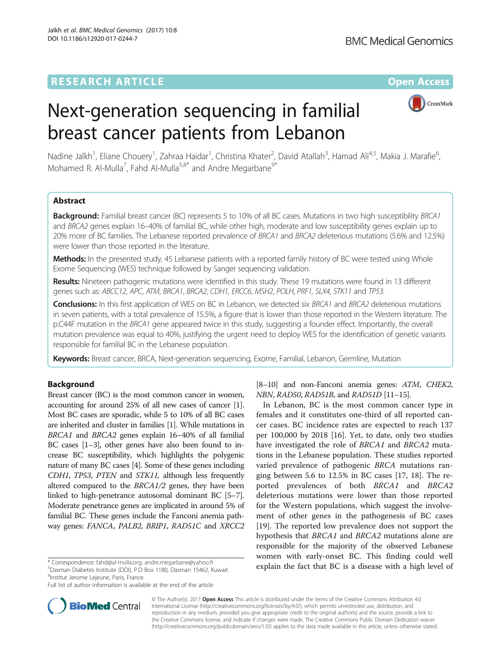# **RESEARCH ARTICLE Example 2018 12:00 Department of the CONNECTION CONNECTION CONNECTION CONNECTION CONNECTION**

**BMC Medical Genomics** 



# Next-generation sequencing in familial breast cancer patients from Lebanon

Nadine Jalkh<sup>1</sup>, Eliane Chouery<sup>1</sup>, Zahraa Haidar<sup>1</sup>, Christina Khater<sup>2</sup>, David Atallah<sup>3</sup>, Hamad Ali<sup>4,5</sup>, Makia J. Marafie<sup>6</sup> י<br>, Mohamed R. Al-Mulla<sup>7</sup>, Fahd Al-Mulla<sup>5,8\*</sup> and Andre Megarbane<sup>9\*</sup>

# Abstract

Background: Familial breast cancer (BC) represents 5 to 10% of all BC cases. Mutations in two high susceptibility BRCA1 and BRCA2 genes explain 16–40% of familial BC, while other high, moderate and low susceptibility genes explain up to 20% more of BC families. The Lebanese reported prevalence of BRCA1 and BRCA2 deleterious mutations (5.6% and 12.5%) were lower than those reported in the literature.

Methods: In the presented study, 45 Lebanese patients with a reported family history of BC were tested using Whole Exome Sequencing (WES) technique followed by Sanger sequencing validation.

Results: Nineteen pathogenic mutations were identified in this study. These 19 mutations were found in 13 different genes such as: ABCC12, APC, ATM, BRCA1, BRCA2, CDH1, ERCC6, MSH2, POLH, PRF1, SLX4, STK11 and TP53.

Conclusions: In this first application of WES on BC in Lebanon, we detected six BRCA1 and BRCA2 deleterious mutations in seven patients, with a total prevalence of 15.5%, a figure that is lower than those reported in the Western literature. The p.C44F mutation in the BRCA1 gene appeared twice in this study, suggesting a founder effect. Importantly, the overall mutation prevalence was equal to 40%, justifying the urgent need to deploy WES for the identification of genetic variants responsible for familial BC in the Lebanese population.

Keywords: Breast cancer, BRCA, Next-generation sequencing, Exome, Familial, Lebanon, Germline, Mutation

# **Background**

Breast cancer (BC) is the most common cancer in women, accounting for around 25% of all new cases of cancer [[1](#page-10-0)]. Most BC cases are sporadic, while 5 to 10% of all BC cases are inherited and cluster in families [\[1](#page-10-0)]. While mutations in BRCA1 and BRCA2 genes explain 16–40% of all familial BC cases [\[1](#page-10-0)–[3\]](#page-10-0), other genes have also been found to increase BC susceptibility, which highlights the polygenic nature of many BC cases [[4](#page-10-0)]. Some of these genes including CDH1, TP53, PTEN and STK11, although less frequently altered compared to the BRCA1/2 genes, they have been linked to high-penetrance autosomal dominant BC [\[5](#page-10-0)–[7](#page-10-0)]. Moderate penetrance genes are implicated in around 5% of familial BC. These genes include the Fanconi anemia pathway genes: FANCA, PALB2, BRIP1, RAD51C and XRCC2

Dasman Diabetes Institute (DDI), P.O Box 1180, Dasman 15462, Kuwait <sup>9</sup>Institut Jerome Lejeune, Paris, France

Full list of author information is available at the end of the article



In Lebanon, BC is the most common cancer type in females and it constitutes one-third of all reported cancer cases. BC incidence rates are expected to reach 137 per 100,000 by 2018 [[16\]](#page-10-0). Yet, to date, only two studies have investigated the role of BRCA1 and BRCA2 mutations in the Lebanese population. These studies reported varied prevalence of pathogenic BRCA mutations ranging between 5.6 to 12.5% in BC cases [[17, 18](#page-10-0)]. The reported prevalences of both BRCA1 and BRCA2 deleterious mutations were lower than those reported for the Western populations, which suggest the involvement of other genes in the pathogenesis of BC cases [[19\]](#page-10-0). The reported low prevalence does not support the hypothesis that BRCA1 and BRCA2 mutations alone are responsible for the majority of the observed Lebanese women with early-onset BC. This finding could well explain the fact that BC is a disease with a high level of \* Correspondence: [fahd@al-mulla.org](mailto:fahd@al-mulla.org); [andre.megarbane@yahoo.fr](mailto:andre.megarbane@yahoo.fr) <sup>5</sup>



© The Author(s). 2017 **Open Access** This article is distributed under the terms of the Creative Commons Attribution 4.0 International License [\(http://creativecommons.org/licenses/by/4.0/](http://creativecommons.org/licenses/by/4.0/)), which permits unrestricted use, distribution, and reproduction in any medium, provided you give appropriate credit to the original author(s) and the source, provide a link to the Creative Commons license, and indicate if changes were made. The Creative Commons Public Domain Dedication waiver [\(http://creativecommons.org/publicdomain/zero/1.0/](http://creativecommons.org/publicdomain/zero/1.0/)) applies to the data made available in this article, unless otherwise stated.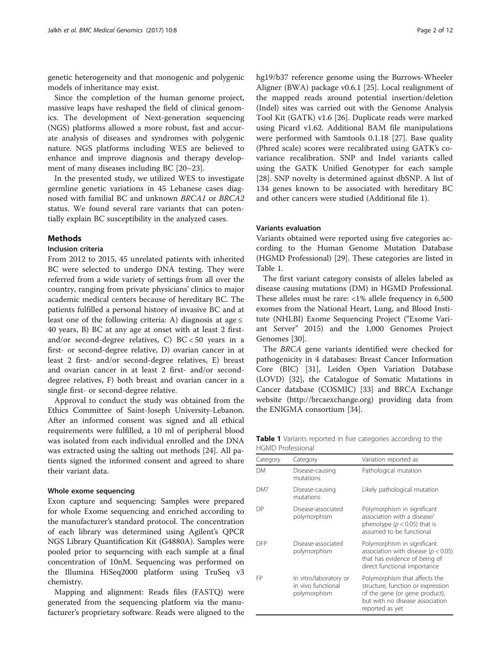genetic heterogeneity and that monogenic and polygenic models of inheritance may exist.

Since the completion of the human genome project, massive leaps have reshaped the field of clinical genomics. The development of Next-generation sequencing (NGS) platforms allowed a more robust, fast and accurate analysis of diseases and syndromes with polygenic nature. NGS platforms including WES are believed to enhance and improve diagnosis and therapy development of many diseases including BC [\[20](#page-10-0)–[23\]](#page-10-0).

In the presented study, we utilized WES to investigate germline genetic variations in 45 Lebanese cases diagnosed with familial BC and unknown BRCA1 or BRCA2 status. We found several rare variants that can potentially explain BC susceptibility in the analyzed cases.

# **Methods**

# Inclusion criteria

From 2012 to 2015, 45 unrelated patients with inherited BC were selected to undergo DNA testing. They were referred from a wide variety of settings from all over the country, ranging from private physicians' clinics to major academic medical centers because of hereditary BC. The patients fulfilled a personal history of invasive BC and at least one of the following criteria: A) diagnosis at age  $\leq$ 40 years, B) BC at any age at onset with at least 2 firstand/or second-degree relatives, C) BC < 50 years in a first- or second-degree relative, D) ovarian cancer in at least 2 first- and/or second-degree relatives, E) breast and ovarian cancer in at least 2 first- and/or seconddegree relatives, F) both breast and ovarian cancer in a single first- or second-degree relative.

Approval to conduct the study was obtained from the Ethics Committee of Saint-Joseph University-Lebanon. After an informed consent was signed and all ethical requirements were fulfilled, a 10 ml of peripheral blood was isolated from each individual enrolled and the DNA was extracted using the salting out methods [\[24\]](#page-10-0). All patients signed the informed consent and agreed to share their variant data.

#### Whole exome sequencing

Exon capture and sequencing: Samples were prepared for whole Exome sequencing and enriched according to the manufacturer's standard protocol. The concentration of each library was determined using Agilent's QPCR NGS Library Quantification Kit (G4880A). Samples were pooled prior to sequencing with each sample at a final concentration of 10nM. Sequencing was performed on the Illumina HiSeq2000 platform using TruSeq v3 chemistry.

Mapping and alignment: Reads files (FASTQ) were generated from the sequencing platform via the manufacturer's proprietary software. Reads were aligned to the hg19/b37 reference genome using the Burrows-Wheeler Aligner (BWA) package v0.6.1 [\[25](#page-10-0)]. Local realignment of the mapped reads around potential insertion/deletion (Indel) sites was carried out with the Genome Analysis Tool Kit (GATK) v1.6 [[26\]](#page-10-0). Duplicate reads were marked using Picard v1.62. Additional BAM file manipulations were performed with Samtools 0.1.18 [\[27\]](#page-10-0). Base quality (Phred scale) scores were recalibrated using GATK's covariance recalibration. SNP and Indel variants called using the GATK Unified Genotyper for each sample [[28\]](#page-10-0). SNP novelty is determined against dbSNP. A list of 134 genes known to be associated with hereditary BC and other cancers were studied (Additional file [1](#page-9-0)).

# Variants evaluation

Variants obtained were reported using five categories according to the Human Genome Mutation Database (HGMD Professional) [[29\]](#page-10-0). These categories are listed in Table 1.

The first variant category consists of alleles labeled as disease causing mutations (DM) in HGMD Professional. These alleles must be rare: <1% allele frequency in 6,500 exomes from the National Heart, Lung, and Blood Institute (NHLBI) Exome Sequencing Project ("Exome Variant Server" 2015) and the 1,000 Genomes Project Genomes [\[30](#page-10-0)].

The BRCA gene variants identified were checked for pathogenicity in 4 databases: Breast Cancer Information Core (BIC) [\[31](#page-10-0)], Leiden Open Variation Database (LOVD) [[32\]](#page-11-0), the Catalogue of Somatic Mutations in Cancer database (COSMIC) [\[33](#page-11-0)] and BRCA Exchange website [\(http://brcaexchange.org](http://brcaexchange.org/)) providing data from the ENIGMA consortium [[34\]](#page-11-0).

Table 1 Variants reported in five categories according to the HGMD Professional

| Category   | Category                                                     | Variation reported as                                                                                                                                      |
|------------|--------------------------------------------------------------|------------------------------------------------------------------------------------------------------------------------------------------------------------|
| <b>DM</b>  | Disease-causing<br>mutations                                 | Pathological mutation                                                                                                                                      |
| DM?        | Disease-causing<br>mutations                                 | Likely pathological mutation                                                                                                                               |
| DР         | Disease-associated<br>polymorphism                           | Polymorphism in significant<br>association with a disease/<br>phenotype ( $p < 0.05$ ) that is<br>assumed to be functional                                 |
| <b>DFP</b> | Disease-associated<br>polymorphism                           | Polymorphism in significant<br>association with disease ( $p < 0.05$ )<br>that has evidence of being of<br>direct functional importance                    |
| FP         | In vitro/laboratory or<br>in vivo functional<br>polymorphism | Polymorphism that affects the<br>structure, function or expression<br>of the gene (or gene product),<br>but with no disease association<br>reported as yet |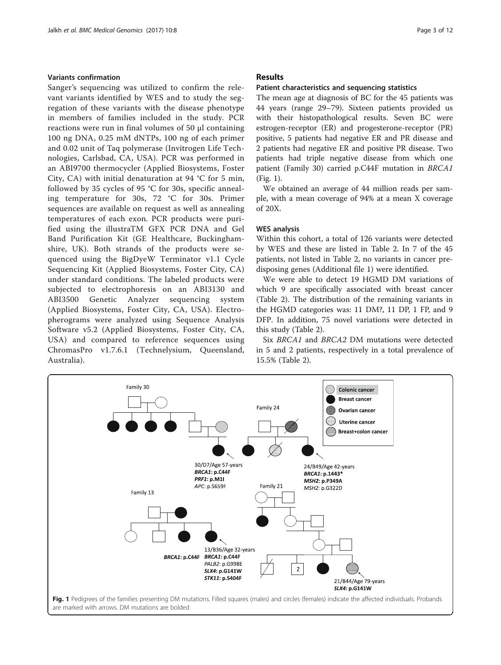# <span id="page-2-0"></span>Variants confirmation

Sanger's sequencing was utilized to confirm the relevant variants identified by WES and to study the segregation of these variants with the disease phenotype in members of families included in the study. PCR reactions were run in final volumes of 50 μl containing 100 ng DNA, 0.25 mM dNTPs, 100 ng of each primer and 0.02 unit of Taq polymerase (Invitrogen Life Technologies, Carlsbad, CA, USA). PCR was performed in an ABI9700 thermocycler (Applied Biosystems, Foster City, CA) with initial denaturation at 94 °C for 5 min, followed by 35 cycles of 95 °C for 30s, specific annealing temperature for 30s, 72 °C for 30s. Primer sequences are available on request as well as annealing temperatures of each exon. PCR products were purified using the illustraTM GFX PCR DNA and Gel Band Purification Kit (GE Healthcare, Buckinghamshire, UK). Both strands of the products were sequenced using the BigDyeW Terminator v1.1 Cycle Sequencing Kit (Applied Biosystems, Foster City, CA) under standard conditions. The labeled products were subjected to electrophoresis on an ABI3130 and ABI3500 Genetic Analyzer sequencing system (Applied Biosystems, Foster City, CA, USA). Electropherograms were analyzed using Sequence Analysis Software v5.2 (Applied Biosystems, Foster City, CA, USA) and compared to reference sequences using ChromasPro v1.7.6.1 (Technelysium, Queensland, Australia).

# Results

#### Patient characteristics and sequencing statistics

The mean age at diagnosis of BC for the 45 patients was 44 years (range 29–79). Sixteen patients provided us with their histopathological results. Seven BC were estrogen-receptor (ER) and progesterone-receptor (PR) positive, 5 patients had negative ER and PR disease and 2 patients had negative ER and positive PR disease. Two patients had triple negative disease from which one patient (Family 30) carried p.C44F mutation in BRCA1 (Fig. 1).

We obtained an average of 44 million reads per sample, with a mean coverage of 94% at a mean X coverage of 20X.

### WES analysis

Within this cohort, a total of 126 variants were detected by WES and these are listed in Table [2](#page-3-0). In 7 of the 45 patients, not listed in Table [2,](#page-3-0) no variants in cancer predisposing genes (Additional file [1](#page-9-0)) were identified.

We were able to detect 19 HGMD DM variations of which 9 are specifically associated with breast cancer (Table [2\)](#page-3-0). The distribution of the remaining variants in the HGMD categories was: 11 DM?, 11 DP, 1 FP, and 9 DFP. In addition, 75 novel variations were detected in this study (Table [2\)](#page-3-0).

Six BRCA1 and BRCA2 DM mutations were detected in 5 and 2 patients, respectively in a total prevalence of 15.5% (Table [2\)](#page-3-0).

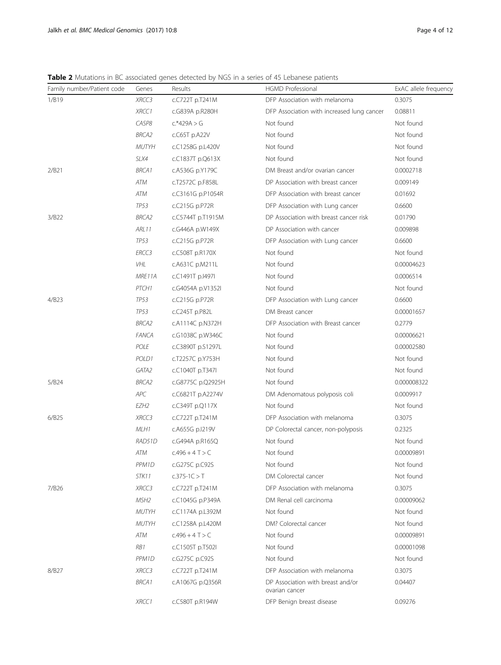<span id="page-3-0"></span>Table 2 Mutations in BC associated genes detected by NGS in a series of 45 Lebanese patients

| Family number/Patient code | Genes              | Results                | <b>HGMD Professional</b>                            | ExAC allele frequency |
|----------------------------|--------------------|------------------------|-----------------------------------------------------|-----------------------|
| 1/B19                      | XRCC3              | c.C722T p.T241M        | DFP Association with melanoma                       | 0.3075                |
|                            | XRCC1              | c.G839A p.R280H        | DFP Association with increased lung cancer          | 0.08811               |
|                            | CASP8              | $c.*429A > G$          | Not found                                           | Not found             |
|                            | <b>BRCA2</b>       | $c$ . $C65T$ p. $A22V$ | Not found                                           | Not found             |
|                            | <b>MUTYH</b>       | c.C1258G p.L420V       | Not found                                           | Not found             |
|                            | SLX4               | c.C1837T p.Q613X       | Not found                                           | Not found             |
| 2/B21                      | <b>BRCA1</b>       | c.A536G p.Y179C        | DM Breast and/or ovarian cancer                     | 0.0002718             |
|                            | ATM                | c.T2572C p.F858L       | DP Association with breast cancer                   | 0.009149              |
|                            | ATM                | c.C3161G p.P1054R      | DFP Association with breast cancer                  | 0.01692               |
|                            | <b>TP53</b>        | c.C215G p.P72R         | DFP Association with Lung cancer                    | 0.6600                |
| 3/B22                      | BRCA2              | c.C5744T p.T1915M      | DP Association with breast cancer risk              | 0.01790               |
|                            | ARL 11             | c.G446A p.W149X        | DP Association with cancer                          | 0.009898              |
|                            | TP53               | c.C215G p.P72R         | DFP Association with Lung cancer                    | 0.6600                |
|                            | ERCC3              | c.C508T p.R170X        | Not found                                           | Not found             |
|                            | VHL                | c.A631C p.M211L        | Not found                                           | 0.00004623            |
|                            | MRE11A             | c.C1491T p.I497I       | Not found                                           | 0.0006514             |
|                            | PTCH <sub>1</sub>  | c.G4054A p.V1352l      | Not found                                           | Not found             |
| 4/B23                      | TP53               | c.C215G p.P72R         | DFP Association with Lung cancer                    | 0.6600                |
|                            | TP53               | c.C245T p.P82L         | DM Breast cancer                                    | 0.00001657            |
|                            | BRCA2              | c.A1114C p.N372H       | DFP Association with Breast cancer                  | 0.2779                |
|                            | <b>FANCA</b>       | c.G1038C p.W346C       | Not found                                           | 0.00006621            |
|                            | POLE               | c.C3890T p.S1297L      | Not found                                           | 0.00002580            |
|                            | POLD1              | c.T2257C p.Y753H       | Not found                                           | Not found             |
|                            | GATA2              | c.C1040T p.T347I       | Not found                                           | Not found             |
| 5/B24                      | BRCA2              | c.G8775C p.Q2925H      | Not found                                           | 0.000008322           |
|                            | APC                | c.C6821T p.A2274V      | DM Adenomatous polyposis coli                       | 0.0009917             |
|                            | EZH2               | c.C349T p.Q117X        | Not found                                           | Not found             |
| 6/B25                      | XRCC3              | c.C722T p.T241M        | DFP Association with melanoma                       | 0.3075                |
|                            | MLH1               | c.A655G p.I219V        | DP Colorectal cancer, non-polyposis                 | 0.2325                |
|                            | RAD51D             | c.G494A p.R165Q        | Not found                                           | Not found             |
|                            | ATM                | $C.496 + 4T > C$       | Not found                                           | 0.00009891            |
|                            | PPM1D              | c.G275C p.C92S         | Not found                                           | Not found             |
|                            | STK11              | $c.375 - 1C > T$       | DM Colorectal cancer                                | Not found             |
| 7/B <sub>26</sub>          | XRCC3              | c.C722T p.T241M        | DFP Association with melanoma                       | 0.3075                |
|                            | MSH2               | c.C1045G p.P349A       | DM Renal cell carcinoma                             | 0.00009062            |
|                            | <b>MUTYH</b>       | c.C1174A p.L392M       | Not found                                           | Not found             |
|                            | <b>MUTYH</b>       | c.C1258A p.L420M       | DM? Colorectal cancer                               | Not found             |
|                            | ATM                | $c.496 + 4 T > C$      | Not found                                           | 0.00009891            |
|                            | RB1                | c.C1505T p.T502I       | Not found                                           | 0.00001098            |
|                            | PPM <sub>1</sub> D | c.G275C p.C92S         | Not found                                           | Not found             |
| 8/B <sub>27</sub>          | XRCC3              | c.C722T p.T241M        | DFP Association with melanoma                       | 0.3075                |
|                            | BRCA1              | c.A1067G p.Q356R       | DP Association with breast and/or<br>ovarian cancer | 0.04407               |
|                            | XRCC1              | c.C580T p.R194W        | DFP Benign breast disease                           | 0.09276               |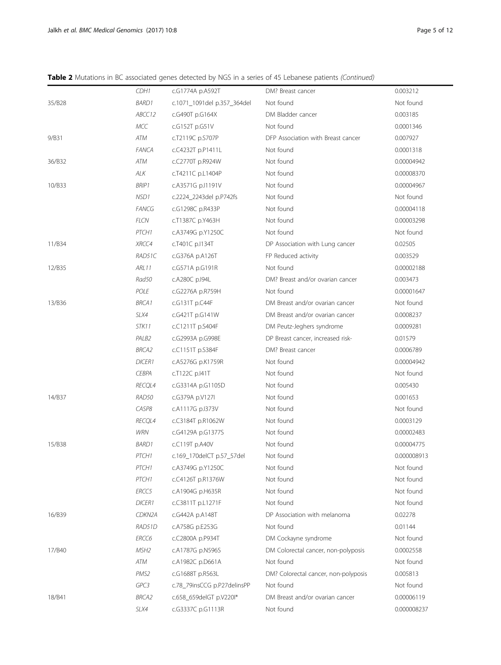Table 2 Mutations in BC associated genes detected by NGS in a series of 45 Lebanese patients (Continued)

|        | CDH1                | c.G1774A p.A592T            | DM? Breast cancer                    | 0.003212    |
|--------|---------------------|-----------------------------|--------------------------------------|-------------|
| 35/B28 | <b>BARD1</b>        | c.1071_1091del p.357_364del | Not found                            | Not found   |
|        | ABCC12              | c.G490T p.G164X             | DM Bladder cancer                    | 0.003185    |
|        | <b>MCC</b>          | c.G152T p.G51V              | Not found                            | 0.0001346   |
| 9/B31  | ATM                 | c.T2119C p.S707P            | DFP Association with Breast cancer   | 0.007927    |
|        | <b>FANCA</b>        | c.C4232T p.P1411L           | Not found                            | 0.0001318   |
| 36/B32 | ATM                 | c.C2770T p.R924W            | Not found                            | 0.00004942  |
|        | ALK                 | c.T4211C p.L1404P           | Not found                            | 0.00008370  |
| 10/B33 | <b>BRIP1</b>        | c.A3571G p.I1191V           | Not found                            | 0.00004967  |
|        | NSD1                | c.2224_2243del p.P742fs     | Not found                            | Not found   |
|        | <b>FANCG</b>        | c.G1298C p.R433P            | Not found                            | 0.00004118  |
|        | <b>FLCN</b>         | c.T1387C p.Y463H            | Not found                            | 0.00003298  |
|        | PTCH1               | c.A3749G p.Y1250C           | Not found                            | Not found   |
| 11/B34 | XRCC4               | c.T401C p.I134T             | DP Association with Lung cancer      | 0.02505     |
|        | RAD51C              | c.G376A p.A126T             | FP Reduced activity                  | 0.003529    |
| 12/B35 | <b>ARL11</b>        | c.G571A p.G191R             | Not found                            | 0.00002188  |
|        | Rad50               | c.A280C p.I94L              | DM? Breast and/or ovarian cancer     | 0.003473    |
|        | POLE                | c.G2276A p.R759H            | Not found                            | 0.00001647  |
| 13/B36 | <b>BRCA1</b>        | c.G131T p.C44F              | DM Breast and/or ovarian cancer      | Not found   |
|        | SLX4                | c.G421T p.G141W             | DM Breast and/or ovarian cancer      | 0.0008237   |
|        | STK11               | c.C1211T p.S404F            | DM Peutz-Jeghers syndrome            | 0.0009281   |
|        | PALB <sub>2</sub>   | c.G2993A p.G998E            | DP Breast cancer, increased risk-    | 0.01579     |
|        | <b>BRCA2</b>        | c.C1151T p.S384F            | DM? Breast cancer                    | 0.0006789   |
|        | <b>DICER1</b>       | c.A5276G p.K1759R           | Not found                            | 0.00004942  |
|        | <b>CEBPA</b>        | c.T122C p.I41T              | Not found                            | Not found   |
|        | RECQL4              | c.G3314A p.G1105D           | Not found                            | 0.005430    |
| 14/B37 | RAD50               | c.G379A p.V127I             | Not found                            | 0.001653    |
|        | CASP8               | c.A1117G p.I373V            | Not found                            | Not found   |
|        | RECQL4              | c.C3184T p.R1062W           | Not found                            | 0.0003129   |
|        | <b>WRN</b>          | c.G4129A p.G1377S           | Not found                            | 0.00002483  |
| 15/B38 | <b>BARD1</b>        | c.C119T p.A40V              | Not found                            | 0.00004775  |
|        | PTCH1               | c.169_170delCT p.57_57del   | Not found                            | 0.000008913 |
|        | PTCH1               | c.A3749G p.Y1250C           | Not found                            | Not found   |
|        | PTCH1               | c.C4126T p.R1376W           | Not found                            | Not found   |
|        | ERCC5               | c.A1904G p.H635R            | Not found                            | Not found   |
|        | <b>DICER1</b>       | c.C3811T p.L1271F           | Not found                            | Not found   |
| 16/B39 | CDKN <sub>2</sub> A | c.G442A p.A148T             | DP Association with melanoma         | 0.02278     |
|        | RAD51D              | c.A758G p.E253G             | Not found                            | 0.01144     |
|        | ERCC6               | c.C2800A p.P934T            | DM Cockayne syndrome                 | Not found   |
| 17/B40 | MSH2                | c.A1787G p.N596S            | DM Colorectal cancer, non-polyposis  | 0.0002558   |
|        | ATM                 | c.A1982C p.D661A            | Not found                            | Not found   |
|        | PMS <sub>2</sub>    | c.G1688T p.R563L            | DM? Colorectal cancer, non-polyposis | 0.005813    |
|        | GPC3                | c.78_79insCCG p.P27delinsPP | Not found                            | Not found   |
| 18/B41 | BRCA2               | c.658_659delGT p.V220I*     | DM Breast and/or ovarian cancer      | 0.00006119  |
|        | SLX4                | c.G3337C p.G1113R           | Not found                            | 0.000008237 |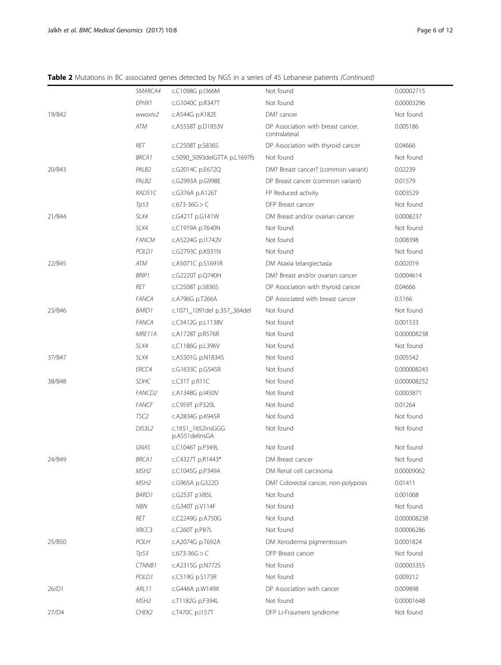# Table 2 Mutations in BC associated genes detected by NGS in a series of 45 Lebanese patients (Continued)

|        | SMARCA4            | c.C1098G p.I366M                    | Not found                                           | 0.00002715  |
|--------|--------------------|-------------------------------------|-----------------------------------------------------|-------------|
|        | EPHX1              | c.G1040C p.R347T                    | Not found                                           | 0.00003296  |
| 19/B42 | wwoxtv2            | c.A544G p.K182E                     | DM? cancer                                          | Not found   |
|        | ATM                | c.A5558T p.D1853V                   | DP Association with breast cancer,<br>contralateral | 0.005186    |
|        | RET                | c.C2508T p.S836S                    | DP Association with thyroid cancer                  | 0.04666     |
|        | <b>BRCA1</b>       | c.5090_5093delGTTA p.L1697fs        | Not found                                           | Not found   |
| 20/B43 | PALB <sub>2</sub>  | c.G2014C p.E672Q                    | DM? Breast cancer? (common variant)                 | 0.02239     |
|        | PALB <sub>2</sub>  | c.G2993A p.G998E                    | DP Breast cancer (common variant)                   | 0.01579     |
|        | RAD51C             | c.G376A p.A126T                     | FP Reduced activity                                 | 0.003529    |
|        | Tp53               | $c.673 - 36G > C$                   | DFP Breast cancer                                   | Not found   |
| 21/B44 | SLX4               | c.G421T p.G141W                     | DM Breast and/or ovarian cancer                     | 0.0008237   |
|        | SLX4               | c.C1919A p.T640N                    | Not found                                           | Not found   |
|        | <b>FANCM</b>       | c.A5224G p.I1742V                   | Not found                                           | 0.008398    |
|        | POLD1              | c.G2793C p.K931N                    | Not found                                           | Not found   |
| 22/B45 | ATM                | c.A5071C p.S1691R                   | DM Ataxia telangiectasia                            | 0.002019    |
|        | <b>BRIP1</b>       | c.G2220T p.Q740H                    | DM? Breast and/or ovarian cancer                    | 0.0004614   |
|        | <b>RET</b>         | c.C2508T p.S836S                    | DP Association with thyroid cancer                  | 0.04666     |
|        | <b>FANCA</b>       | c.A796G p.T266A                     | DP Associated with breast cancer                    | 0.5166      |
| 23/B46 | <b>BARD1</b>       | c.1071_1091del p.357_364del         | Not found                                           | Not found   |
|        | <b>FANCA</b>       | c.C3412G p.L1138V                   | Not found                                           | 0.001533    |
|        | MRE11A             | c.A1728T p.R576R                    | Not found                                           | 0.000008238 |
|        | SLX4               | c.C1186G p.L396V                    | Not found                                           | Not found   |
| 37/B47 | SLX4               | c.A5501G p.N1834S                   | Not found                                           | 0.005542    |
|        | ERCC4              | c.G1633C p.G545R                    | Not found                                           | 0.000008243 |
| 38/B48 | <b>SDHC</b>        | c.C31T p.R11C                       | Not found                                           | 0.000008252 |
|        | FANCD <sub>2</sub> | c.A1348G p.I450V                    | Not found                                           | 0.0003871   |
|        | <b>FANCF</b>       | c.C959T p.P320L                     | Not found                                           | 0.01264     |
|        | TSC <sub>2</sub>   | c.A2834G p.K945R                    | Not found                                           | Not found   |
|        | DIS3L2             | c.1651_1652insGGG<br>p.A551delinsGA | Not found                                           | Not found   |
|        | <b>GNAS</b>        | c.C1046T p.P349L                    | Not found                                           | Not found   |
| 24/B49 | <b>BRCA1</b>       | c.C4327T p.R1443*                   | DM Breast cancer                                    | Not found   |
|        | MSH2               | c.C1045G p.P349A                    | DM Renal cell carcinoma                             | 0.00009062  |
|        | MSH <sub>2</sub>   | c.G965A p.G322D                     | DM? Colorectal cancer, non-polyposis                | 0.01411     |
|        | <b>BARD1</b>       | c.G253T p.V85L                      | Not found                                           | 0.001068    |
|        | <b>NBN</b>         | c.G340T p.V114F                     | Not found                                           | Not found   |
|        | RET                | c.C2249G p.A750G                    | Not found                                           | 0.000008238 |
|        | XRCC3              | c.C260T p.P87L                      | Not found                                           | 0.00006286  |
| 25/B50 | POLH               | c.A2074G p.T692A                    | DM Xeroderma pigmentosum                            | 0.0001824   |
|        | Tp53               | $c.673 - 36G > C$                   | DFP Breast cancer                                   | Not found   |
|        | <b>CTNNB1</b>      | c.A2315G p.N772S                    | Not found                                           | 0.00003355  |
|        | POLD1              | c.C519G p.S173R                     | Not found                                           | 0.009212    |
| 26/D1  | ARL11              | c.G446A p.W149X                     | DP Association with cancer                          | 0.009898    |
|        | MSH2               | c.T1182G p.F394L                    | Not found                                           | 0.00001648  |
| 27/D4  | CHEK2              | c.T470C p.I157T                     | DFP Li-Fraumeni syndrome                            | Not found   |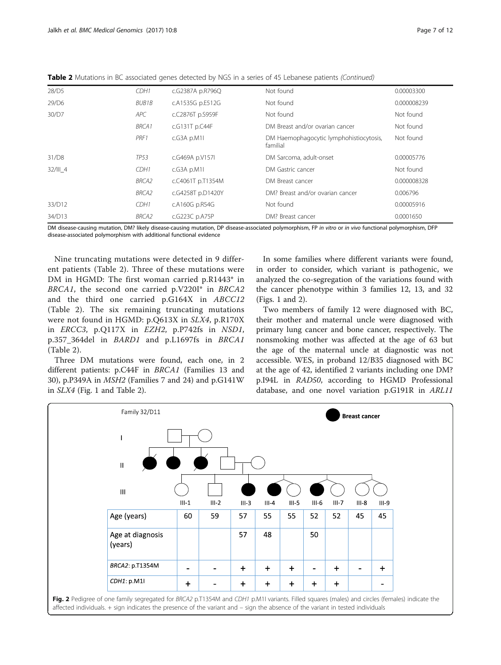<span id="page-6-0"></span>

| Table 2 Mutations in BC associated genes detected by NGS in a series of 45 Lebanese patients (Continued) |  |  |
|----------------------------------------------------------------------------------------------------------|--|--|
|                                                                                                          |  |  |

| 28/D5      | CDH1         | c.G2387A p.R796Q  | Not found                                           | 0.00003300  |
|------------|--------------|-------------------|-----------------------------------------------------|-------------|
| 29/D6      | BUB1B        | c.A1535G p.E512G  | Not found                                           | 0.000008239 |
| 30/D7      | APC          | c.C2876T p.S959F  | Not found                                           | Not found   |
|            | <b>BRCA1</b> | c.G131T p.C44F    | DM Breast and/or ovarian cancer                     | Not found   |
|            | PRF1         | c.G3A p.M1I       | DM Haemophagocytic lymphohistiocytosis,<br>familial | Not found   |
| 31/D8      | <b>TP53</b>  | c.G469A p.V157I   | DM Sarcoma, adult-onset                             | 0.00005776  |
| $32/III$ 4 | CDH1         | $c$ .G3A p.M1I    | DM Gastric cancer                                   | Not found   |
|            | <b>BRCA2</b> | c.C4061T p.T1354M | DM Breast cancer                                    | 0.000008328 |
|            | <b>BRCA2</b> | c.G4258T p.D1420Y | DM? Breast and/or ovarian cancer                    | 0.006796    |
| 33/D12     | CDH1         | c.A160G p.R54G    | Not found                                           | 0.00005916  |
| 34/D13     | BRCA2        | c.G223C p.A75P    | DM? Breast cancer                                   | 0.0001650   |

DM disease-causing mutation, DM? likely disease-causing mutation, DP disease-associated polymorphism, FP in vitro or in vivo functional polymorphism, DFP disease-associated polymorphism with additional functional evidence

Nine truncating mutations were detected in 9 different patients (Table [2](#page-3-0)). Three of these mutations were DM in HGMD: The first woman carried p.R1443\* in BRCA1, the second one carried p.V220I\* in BRCA2 and the third one carried p.G164X in ABCC12 (Table [2\)](#page-3-0). The six remaining truncating mutations were not found in HGMD: p.Q613X in SLX4, p.R170X in ERCC3, p.Q117X in EZH2, p.P742fs in NSD1, p.357\_364del in BARD1 and p.L1697fs in BRCA1 (Table [2](#page-3-0)).

Three DM mutations were found, each one, in 2 different patients: p.C44F in BRCA1 (Families 13 and 30), p.P349A in MSH2 (Families 7 and 24) and p.G141W in SLX4 (Fig. [1](#page-2-0) and Table [2](#page-3-0)).

In some families where different variants were found, in order to consider, which variant is pathogenic, we analyzed the co-segregation of the variations found with the cancer phenotype within 3 families 12, 13, and 32 (Figs. [1](#page-2-0) and 2).

Two members of family 12 were diagnosed with BC, their mother and maternal uncle were diagnosed with primary lung cancer and bone cancer, respectively. The nonsmoking mother was affected at the age of 63 but the age of the maternal uncle at diagnostic was not accessible. WES, in proband 12/B35 diagnosed with BC at the age of 42, identified 2 variants including one DM? p.I94L in RAD50, according to HGMD Professional database, and one novel variation p.G191R in ARL11

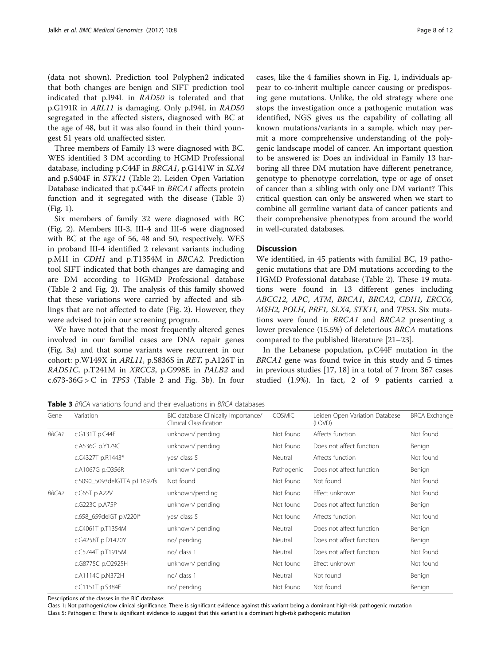(data not shown). Prediction tool Polyphen2 indicated that both changes are benign and SIFT prediction tool indicated that p.I94L in RAD50 is tolerated and that p.G191R in ARL11 is damaging. Only p.I94L in RAD50 segregated in the affected sisters, diagnosed with BC at the age of 48, but it was also found in their third youngest 51 years old unaffected sister.

Three members of Family 13 were diagnosed with BC. WES identified 3 DM according to HGMD Professional database, including p.C44F in BRCA1, p.G141W in SLX4 and p.S404F in STK11 (Table [2\)](#page-3-0). Leiden Open Variation Database indicated that p.C44F in BRCA1 affects protein function and it segregated with the disease (Table 3) (Fig. [1](#page-2-0)).

Six members of family 32 were diagnosed with BC (Fig. [2\)](#page-6-0). Members III-3, III-4 and III-6 were diagnosed with BC at the age of 56, 48 and 50, respectively. WES in proband III-4 identified 2 relevant variants including p.M1I in CDH1 and p.T1354M in BRCA2. Prediction tool SIFT indicated that both changes are damaging and are DM according to HGMD Professional database (Table [2](#page-3-0) and Fig. [2\)](#page-6-0). The analysis of this family showed that these variations were carried by affected and siblings that are not affected to date (Fig. [2](#page-6-0)). However, they were advised to join our screening program.

We have noted that the most frequently altered genes involved in our familial cases are DNA repair genes (Fig. [3a](#page-8-0)) and that some variants were recurrent in our cohort: p.W149X in ARL11, p.S836S in RET, p.A126T in RAD51C, p.T241M in XRCC3, p.G998E in PALB2 and  $c.673-36G > C$  in  $TP53$  (Table [2](#page-3-0) and Fig. [3b](#page-8-0)). In four cases, like the 4 families shown in Fig. [1](#page-2-0), individuals appear to co-inherit multiple cancer causing or predisposing gene mutations. Unlike, the old strategy where one stops the investigation once a pathogenic mutation was identified, NGS gives us the capability of collating all known mutations/variants in a sample, which may permit a more comprehensive understanding of the polygenic landscape model of cancer. An important question to be answered is: Does an individual in Family 13 harboring all three DM mutation have different penetrance, genotype to phenotype correlation, type or age of onset of cancer than a sibling with only one DM variant? This critical question can only be answered when we start to combine all germline variant data of cancer patients and their comprehensive phenotypes from around the world in well-curated databases.

# **Discussion**

We identified, in 45 patients with familial BC, 19 pathogenic mutations that are DM mutations according to the HGMD Professional database (Table [2](#page-3-0)). These 19 mutations were found in 13 different genes including ABCC12, APC, ATM, BRCA1, BRCA2, CDH1, ERCC6, MSH2, POLH, PRF1, SLX4, STK11, and TP53. Six mutations were found in BRCA1 and BRCA2 presenting a lower prevalence (15.5%) of deleterious BRCA mutations compared to the published literature [\[21](#page-10-0)–[23\]](#page-10-0).

In the Lebanese population, p.C44F mutation in the BRCA1 gene was found twice in this study and 5 times in previous studies [[17, 18](#page-10-0)] in a total of 7 from 367 cases studied (1.9%). In fact, 2 of 9 patients carried a

Table 3 BRCA variations found and their evaluations in BRCA databases

| Gene         | Variation                    | BIC database Clinically Importance/<br>Clinical Classification | <b>COSMIC</b> | Leiden Open Variation Database<br>(LOVD) | <b>BRCA Exchange</b> |
|--------------|------------------------------|----------------------------------------------------------------|---------------|------------------------------------------|----------------------|
| <b>BRCA1</b> | c.G131T p.C44F               | unknown/ pending                                               | Not found     | Affects function                         | Not found            |
|              | c.A536G p.Y179C              | unknown/ pending                                               | Not found     | Does not affect function                 | Benign               |
|              | c.C4327T p.R1443*            | yes/ class 5                                                   | Neutral       | Affects function                         | Not found            |
|              | c.A1067G p.Q356R             | unknown/ pending                                               | Pathogenic    | Does not affect function                 | Benign               |
|              | c.5090_5093delGTTA p.L1697fs | Not found                                                      | Not found     | Not found                                | Not found            |
| <b>BRCA2</b> | c.C65T p.A22V                | unknown/pending                                                | Not found     | Effect unknown                           | Not found            |
|              | c.G223C p.A75P               | unknown/ pending                                               | Not found     | Does not affect function                 | Benign               |
|              | c.658 659delGT p.V220I*      | yes/ class 5                                                   | Not found     | Affects function                         | Not found            |
|              | c.C4061T p.T1354M            | unknown/ pending                                               | Neutral       | Does not affect function                 | Benign               |
|              | c.G4258T p.D1420Y            | no/ pending                                                    | Neutral       | Does not affect function                 | Benign               |
|              | c.C5744T p.T1915M            | no/ class 1                                                    | Neutral       | Does not affect function                 | Not found            |
|              | c.G8775C p.Q2925H            | unknown/ pending                                               | Not found     | Effect unknown                           | Not found            |
|              | c.A1114C p.N372H             | no/ class 1                                                    | Neutral       | Not found                                | Benign               |
|              | c.C1151T p.S384F             | no/ pending                                                    | Not found     | Not found                                | Benign               |

Descriptions of the classes in the BIC database:

Class 1: Not pathogenic/low clinical significance: There is significant evidence against this variant being a dominant high-risk pathogenic mutation Class 5: Pathogenic: There is significant evidence to suggest that this variant is a dominant high-risk pathogenic mutation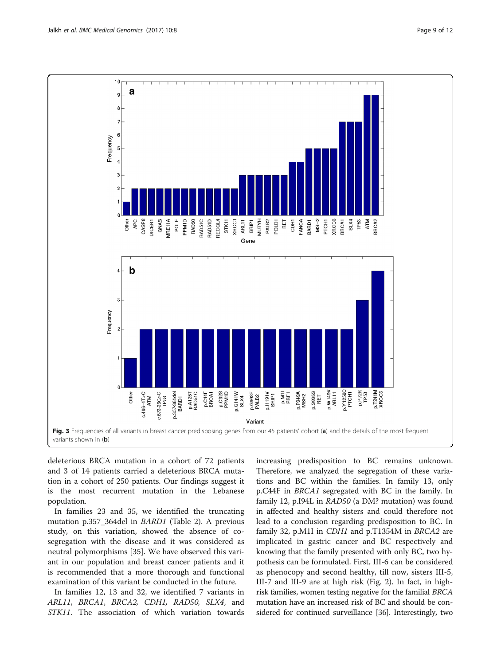<span id="page-8-0"></span>

deleterious BRCA mutation in a cohort of 72 patients and 3 of 14 patients carried a deleterious BRCA mutation in a cohort of 250 patients. Our findings suggest it is the most recurrent mutation in the Lebanese population.

In families 23 and 35, we identified the truncating mutation p.357\_364del in BARD1 (Table [2\)](#page-3-0). A previous study, on this variation, showed the absence of cosegregation with the disease and it was considered as neutral polymorphisms [[35\]](#page-11-0). We have observed this variant in our population and breast cancer patients and it is recommended that a more thorough and functional examination of this variant be conducted in the future.

In families 12, 13 and 32, we identified 7 variants in ARL11, BRCA1, BRCA2, CDH1, RAD50, SLX4, and STK11. The association of which variation towards increasing predisposition to BC remains unknown. Therefore, we analyzed the segregation of these variations and BC within the families. In family 13, only p.C44F in BRCA1 segregated with BC in the family. In family 12, p.I94L in RAD50 (a DM? mutation) was found in affected and healthy sisters and could therefore not lead to a conclusion regarding predisposition to BC. In family 32, p.M1I in CDH1 and p.T1354M in BRCA2 are implicated in gastric cancer and BC respectively and knowing that the family presented with only BC, two hypothesis can be formulated. First, III-6 can be considered as phenocopy and second healthy, till now, sisters III-5, III-7 and III-9 are at high risk (Fig. [2\)](#page-6-0). In fact, in highrisk families, women testing negative for the familial BRCA mutation have an increased risk of BC and should be considered for continued surveillance [[36](#page-11-0)]. Interestingly, two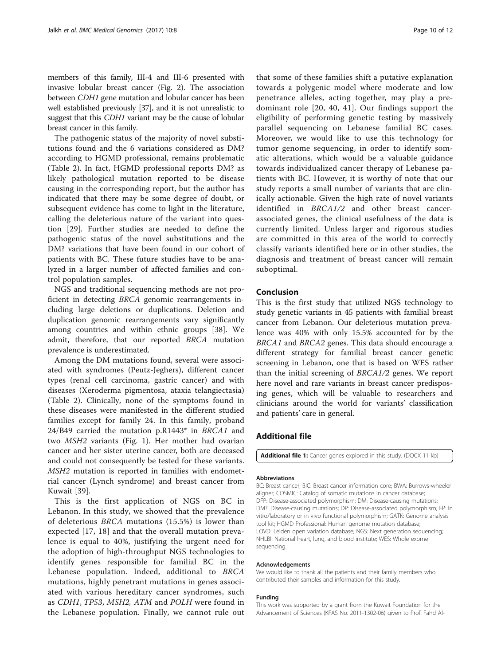<span id="page-9-0"></span>members of this family, III-4 and III-6 presented with invasive lobular breast cancer (Fig. [2](#page-6-0)). The association between CDH1 gene mutation and lobular cancer has been well established previously [\[37\]](#page-11-0), and it is not unrealistic to suggest that this CDH1 variant may be the cause of lobular breast cancer in this family.

The pathogenic status of the majority of novel substitutions found and the 6 variations considered as DM? according to HGMD professional, remains problematic (Table [2\)](#page-3-0). In fact, HGMD professional reports DM? as likely pathological mutation reported to be disease causing in the corresponding report, but the author has indicated that there may be some degree of doubt, or subsequent evidence has come to light in the literature, calling the deleterious nature of the variant into question [[29\]](#page-10-0). Further studies are needed to define the pathogenic status of the novel substitutions and the DM? variations that have been found in our cohort of patients with BC. These future studies have to be analyzed in a larger number of affected families and control population samples.

NGS and traditional sequencing methods are not proficient in detecting BRCA genomic rearrangements including large deletions or duplications. Deletion and duplication genomic rearrangements vary significantly among countries and within ethnic groups [\[38\]](#page-11-0). We admit, therefore, that our reported BRCA mutation prevalence is underestimated.

Among the DM mutations found, several were associated with syndromes (Peutz-Jeghers), different cancer types (renal cell carcinoma, gastric cancer) and with diseases (Xeroderma pigmentosa, ataxia telangiectasia) (Table [2\)](#page-3-0). Clinically, none of the symptoms found in these diseases were manifested in the different studied families except for family 24. In this family, proband 24/B49 carried the mutation p.R1443\* in BRCA1 and two MSH2 variants (Fig. [1\)](#page-2-0). Her mother had ovarian cancer and her sister uterine cancer, both are deceased and could not consequently be tested for these variants. MSH2 mutation is reported in families with endometrial cancer (Lynch syndrome) and breast cancer from Kuwait [\[39](#page-11-0)].

This is the first application of NGS on BC in Lebanon. In this study, we showed that the prevalence of deleterious BRCA mutations (15.5%) is lower than expected [[17](#page-10-0), [18](#page-10-0)] and that the overall mutation prevalence is equal to 40%, justifying the urgent need for the adoption of high-throughput NGS technologies to identify genes responsible for familial BC in the Lebanese population. Indeed, additional to BRCA mutations, highly penetrant mutations in genes associated with various hereditary cancer syndromes, such as CDH1, TP53, MSH2, ATM and POLH were found in the Lebanese population. Finally, we cannot rule out

that some of these families shift a putative explanation towards a polygenic model where moderate and low penetrance alleles, acting together, may play a predominant role [[20](#page-10-0), [40](#page-11-0), [41](#page-11-0)]. Our findings support the eligibility of performing genetic testing by massively parallel sequencing on Lebanese familial BC cases. Moreover, we would like to use this technology for tumor genome sequencing, in order to identify somatic alterations, which would be a valuable guidance towards individualized cancer therapy of Lebanese patients with BC. However, it is worthy of note that our study reports a small number of variants that are clinically actionable. Given the high rate of novel variants identified in BRCA1/2 and other breast cancerassociated genes, the clinical usefulness of the data is currently limited. Unless larger and rigorous studies are committed in this area of the world to correctly classify variants identified here or in other studies, the diagnosis and treatment of breast cancer will remain suboptimal.

## Conclusion

This is the first study that utilized NGS technology to study genetic variants in 45 patients with familial breast cancer from Lebanon. Our deleterious mutation prevalence was 40% with only 15.5% accounted for by the BRCA1 and BRCA2 genes. This data should encourage a different strategy for familial breast cancer genetic screening in Lebanon, one that is based on WES rather than the initial screening of BRCA1/2 genes. We report here novel and rare variants in breast cancer predisposing genes, which will be valuable to researchers and clinicians around the world for variants' classification and patients' care in general.

# Additional file

[Additional file 1:](dx.doi.org/10.1186/s12920-017-0244-7) Cancer genes explored in this study. (DOCX 11 kb)

#### Abbreviations

BC: Breast cancer; BIC: Breast cancer information core; BWA: Burrows-wheeler aligner; COSMIC: Catalog of somatic mutations in cancer database; DFP: Disease-associated polymorphism; DM: Disease-causing mutations; DM?: Disease-causing mutations; DP: Disease-associated polymorphism; FP: In vitro/laboratory or in vivo functional polymorphism; GATK: Genome analysis tool kit; HGMD Professional: Human genome mutation database; LOVD: Leiden open variation database; NGS: Next generation sequencing; NHLBI: National heart, lung, and blood institute; WES: Whole exome sequencing.

#### Acknowledgements

We would like to thank all the patients and their family members who contributed their samples and information for this study.

#### Funding

This work was supported by a grant from the Kuwait Foundation for the Advancement of Sciences (KFAS No. 2011-1302-06) given to Prof. Fahd Al-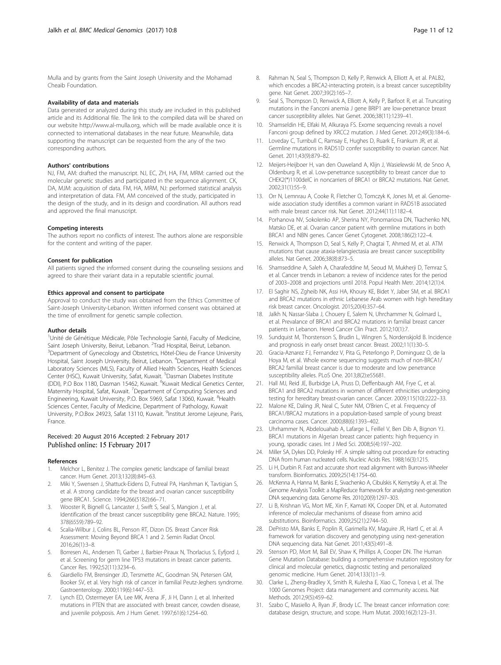<span id="page-10-0"></span>Mulla and by grants from the Saint Joseph University and the Mohamad Cheaib Foundation.

#### Availability of data and materials

Data generated or analyzed during this study are included in this published article and its Additional file. The link to the compiled data will be shared on our website [http://www.al-mulla.org](http://www.al-mulla.org/), which will be made available once it is connected to international databases in the near future. Meanwhile, data supporting the manuscript can be requested from the any of the two corresponding authors.

#### Authors' contributions

NJ, FM, AM: drafted the manuscript. NJ, EC, ZH, HA, FM, MRM: carried out the molecular genetic studies and participated in the sequence alignment. CK, DA, MJM: acquisition of data. FM, HA, MRM, NJ: performed statistical analysis and interpretation of data. FM, AM conceived of the study, participated in the design of the study, and in its design and coordination. All authors read and approved the final manuscript.

#### Competing interests

The authors report no conflicts of interest. The authors alone are responsible for the content and writing of the paper.

#### Consent for publication

All patients signed the informed consent during the counseling sessions and agreed to share their variant data in a reputable scientific journal.

#### Ethics approval and consent to participate

Approval to conduct the study was obtained from the Ethics Committee of Saint-Joseph University-Lebanon. Written informed consent was obtained at the time of enrollment for genetic sample collection.

#### Author details

<sup>1</sup>Unité de Génétique Médicale, Pôle Technologie Santé, Faculty of Medicine, Saint Joseph University, Beirut, Lebanon. <sup>2</sup>Trad Hospital, Beirut, Lebanon.<br><sup>3</sup>Department of Gynocology and Obstatrics, Hatel Digu de France Unive <sup>3</sup>Department of Gynecology and Obstetrics, Hôtel-Dieu de France University Hospital, Saint Joseph University, Beirut, Lebanon. <sup>4</sup>Department of Medical Laboratory Sciences (MLS), Faculty of Allied Health Sciences, Health Sciences Center (HSC), Kuwait University, Safat, Kuwait. <sup>5</sup>Dasman Diabetes Institute (DDI), P.O Box 1180, Dasman 15462, Kuwait. <sup>6</sup>Kuwait Medical Genetics Center, Maternity Hospital, Safat, Kuwait. <sup>7</sup>Department of Computing Sciences and Engineering, Kuwait University, P.O. Box 5969, Safat 13060, Kuwait. <sup>8</sup>Health Sciences Center, Faculty of Medicine, Department of Pathology, Kuwait University, P.O.Box 24923, Safat 13110, Kuwait. <sup>9</sup>Institut Jerome Lejeune, Paris, France.

#### Received: 20 August 2016 Accepted: 2 February 2017 Published online: 15 February 2017

#### References

- Melchor L, Benitez J. The complex genetic landscape of familial breast cancer. Hum Genet. 2013;132(8):845–63.
- 2. Miki Y, Swensen J, Shattuck-Eidens D, Futreal PA, Harshman K, Tavtigian S, et al. A strong candidate for the breast and ovarian cancer susceptibility gene BRCA1. Science. 1994;266(5182):66–71.
- 3. Wooster R, Bignell G, Lancaster J, Swift S, Seal S, Mangion J, et al. Identification of the breast cancer susceptibility gene BRCA2. Nature. 1995; 378(6559):789–92.
- 4. Scalia-Wilbur J, Colins BL, Penson RT, Dizon DS. Breast Cancer Risk Assessment: Moving Beyond BRCA 1 and 2. Semin Radiat Oncol. 2016;26(1):3–8.
- 5. Borresen AL, Andersen TI, Garber J, Barbier-Piraux N, Thorlacius S, Eyfjord J, et al. Screening for germ line TP53 mutations in breast cancer patients. Cancer Res. 1992;52(11):3234–6.
- 6. Giardiello FM, Brensinger JD, Tersmette AC, Goodman SN, Petersen GM, Booker SV, et al. Very high risk of cancer in familial Peutz-Jeghers syndrome. Gastroenterology. 2000;119(6):1447–53.
- 7. Lynch ED, Ostermeyer EA, Lee MK, Arena JF, Ji H, Dann J, et al. Inherited mutations in PTEN that are associated with breast cancer, cowden disease, and juvenile polyposis. Am J Hum Genet. 1997;61(6):1254–60.
- 8. Rahman N, Seal S, Thompson D, Kelly P, Renwick A, Elliott A, et al. PALB2, which encodes a BRCA2-interacting protein, is a breast cancer susceptibility gene. Nat Genet. 2007;39(2):165–7.
- Seal S, Thompson D, Renwick A, Elliott A, Kelly P, Barfoot R, et al. Truncating mutations in the Fanconi anemia J gene BRIP1 are low-penetrance breast cancer susceptibility alleles. Nat Genet. 2006;38(11):1239–41.
- 10. Shamseldin HE, Elfaki M, Alkuraya FS. Exome sequencing reveals a novel Fanconi group defined by XRCC2 mutation. J Med Genet. 2012;49(3):184–6.
- 11. Loveday C, Turnbull C, Ramsay E, Hughes D, Ruark E, Frankum JR, et al. Germline mutations in RAD51D confer susceptibility to ovarian cancer. Nat Genet. 2011;43(9):879–82.
- 12. Meijers-Heijboer H, van den Ouweland A, Klijn J, Wasielewski M, de Snoo A, Oldenburg R, et al. Low-penetrance susceptibility to breast cancer due to CHEK2(\*)1100delC in noncarriers of BRCA1 or BRCA2 mutations. Nat Genet. 2002;31(1):55–9.
- 13. Orr N, Lemnrau A, Cooke R, Fletcher O, Tomczyk K, Jones M, et al. Genomewide association study identifies a common variant in RAD51B associated with male breast cancer risk. Nat Genet. 2012;44(11):1182–4.
- 14. Porhanova NV, Sokolenko AP, Sherina NY, Ponomariova DN, Tkachenko NN, Matsko DE, et al. Ovarian cancer patient with germline mutations in both BRCA1 and NBN genes. Cancer Genet Cytogenet. 2008;186(2):122–4.
- 15. Renwick A, Thompson D, Seal S, Kelly P, Chagtai T, Ahmed M, et al. ATM mutations that cause ataxia-telangiectasia are breast cancer susceptibility alleles. Nat Genet. 2006;38(8):873–5.
- 16. Shamseddine A, Saleh A, Charafeddine M, Seoud M, Mukherji D, Temraz S, et al. Cancer trends in Lebanon: a review of incidence rates for the period of 2003–2008 and projections until 2018. Popul Health Metr. 2014;12(1):4.
- 17. El Saghir NS, Zgheib NK, Assi HA, Khoury KE, Bidet Y, Jaber SM, et al. BRCA1 and BRCA2 mutations in ethnic Lebanese Arab women with high hereditary risk breast cancer. Oncologist. 2015;20(4):357–64.
- 18. Jalkh N, Nassar-Slaba J, Chouery E, Salem N, Uhrchammer N, Golmard L, et al. Prevalance of BRCA1 and BRCA2 mutations in familial breast cancer patients in Lebanon. Hered Cancer Clin Pract. 2012;10(1):7.
- 19. Sundquist M, Thorstenson S, Brudin L, Wingren S, Nordenskjold B. Incidence and prognosis in early onset breast cancer. Breast. 2002;11(1):30–5.
- 20. Gracia-Aznarez FJ, Fernandez V, Pita G, Peterlongo P, Dominguez O, de la Hoya M, et al. Whole exome sequencing suggests much of non-BRCA1/ BRCA2 familial breast cancer is due to moderate and low penetrance susceptibility alleles. PLoS One. 2013;8(2):e55681.
- 21. Hall MJ, Reid JE, Burbidge LA, Pruss D, Deffenbaugh AM, Frye C, et al. BRCA1 and BRCA2 mutations in women of different ethnicities undergoing testing for hereditary breast-ovarian cancer. Cancer. 2009;115(10):2222–33.
- 22. Malone KE, Daling JR, Neal C, Suter NM, O'Brien C, et al. Frequency of BRCA1/BRCA2 mutations in a population-based sample of young breast carcinoma cases. Cancer. 2000;88(6):1393–402.
- 23. Uhrhammer N, Abdelouahab A, Lafarge L, Feillel V, Ben Dib A, Bignon YJ. BRCA1 mutations in Algerian breast cancer patients: high frequency in young, sporadic cases. Int J Med Sci. 2008;5(4):197–202.
- 24. Miller SA, Dykes DD, Polesky HF. A simple salting out procedure for extracting DNA from human nucleated cells. Nucleic Acids Res. 1988;16(3):1215.
- 25. Li H, Durbin R. Fast and accurate short read alignment with Burrows-Wheeler transform. Bioinformatics. 2009;25(14):1754–60.
- 26. McKenna A, Hanna M, Banks E, Sivachenko A, Cibulskis K, Kernytsky A, et al. The Genome Analysis Toolkit: a MapReduce framework for analyzing next-generation DNA sequencing data. Genome Res. 2010;20(9):1297–303.
- 27. Li B, Krishnan VG, Mort ME, Xin F, Kamati KK, Cooper DN, et al. Automated inference of molecular mechanisms of disease from amino acid substitutions. Bioinformatics. 2009;25(21):2744–50.
- 28. DePristo MA, Banks E, Poplin R, Garimella KV, Maguire JR, Hartl C, et al. A framework for variation discovery and genotyping using next-generation DNA sequencing data. Nat Genet. 2011;43(5):491–8.
- 29. Stenson PD, Mort M, Ball EV, Shaw K, Phillips A, Cooper DN. The Human Gene Mutation Database: building a comprehensive mutation repository for clinical and molecular genetics, diagnostic testing and personalized genomic medicine. Hum Genet. 2014;133(1):1–9.
- 30. Clarke L, Zheng-Bradley X, Smith R, Kulesha E, Xiao C, Toneva I, et al. The 1000 Genomes Project: data management and community access. Nat Methods. 2012;9(5):459–62.
- 31. Szabo C, Masiello A, Ryan JF, Brody LC. The breast cancer information core: database design, structure, and scope. Hum Mutat. 2000;16(2):123–31.